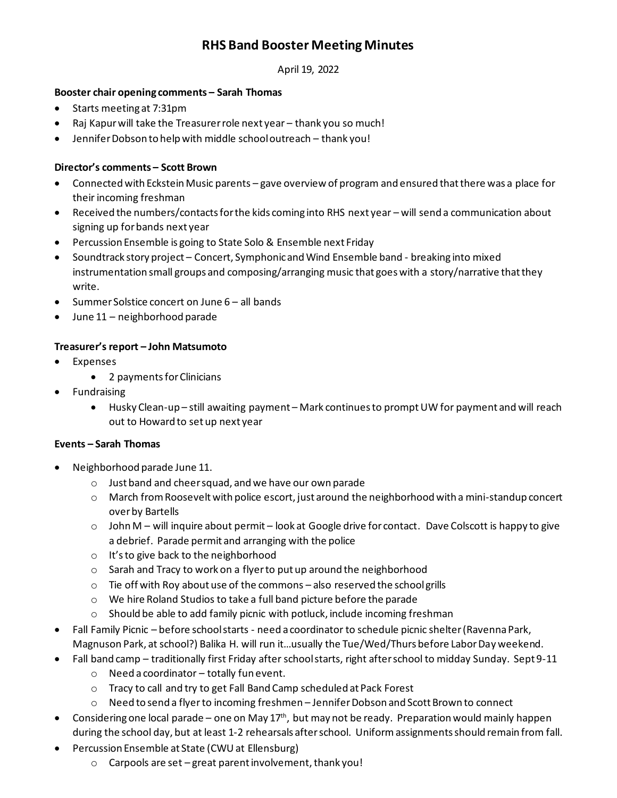# **RHS Band Booster Meeting Minutes**

April 19, 2022

### **Booster chair opening comments – Sarah Thomas**

- Starts meeting at 7:31pm
- Raj Kapur will take the Treasurer role next year thank you so much!
- Jennifer Dobson to help with middle school outreach thank you!

### **Director's comments – Scott Brown**

- Connected with Eckstein Music parents gave overview of program and ensured that there was a place for their incoming freshman
- Received the numbers/contacts for the kids coming into RHS next year will send a communication about signing up for bands next year
- Percussion Ensemble is going to State Solo & Ensemble next Friday
- Soundtrack story project Concert, Symphonic and Wind Ensemble band breaking into mixed instrumentation small groups and composing/arranging music that goes with a story/narrative that they write.
- Summer Solstice concert on June 6 all bands
- June 11 neighborhood parade

## **Treasurer's report – John Matsumoto**

- **Expenses** 
	- 2 payments for Clinicians
- Fundraising
	- Husky Clean-up still awaiting payment Mark continues to prompt UW for payment and will reach out to Howard to set up next year

#### **Events – Sarah Thomas**

- Neighborhood parade June 11.
	- o Just band and cheer squad, and we have our own parade
	- o March from Roosevelt with police escort, just around the neighborhood with a mini-standup concert over by Bartells
	- $\circ$  John M will inquire about permit look at Google drive for contact. Dave Colscott is happy to give a debrief. Parade permit and arranging with the police
	- o It's to give back to the neighborhood
	- o Sarah and Tracy to work on a flyer to put up around the neighborhood
	- $\circ$  Tie off with Roy about use of the commons also reserved the school grills
	- o We hire Roland Studios to take a full band picture before the parade
	- o Should be able to add family picnic with potluck, include incoming freshman
- Fall Family Picnic before school starts need a coordinator to schedule picnic shelter (Ravenna Park, Magnuson Park, at school?) Balika H. will run it…usually the Tue/Wed/Thurs before Labor Day weekend.
- Fall band camp traditionally first Friday after school starts, right after school to midday Sunday. Sept 9-11
	- o Need a coordinator totally fun event.
	- o Tracy to call and try to get Fall Band Camp scheduled at Pack Forest
	- o Need to send a flyerto incoming freshmen Jennifer Dobson and Scott Brown to connect
- Considering one local parade one on May  $17<sup>th</sup>$ , but may not be ready. Preparation would mainly happen during the school day, but at least 1-2 rehearsals after school. Uniformassignments should remain from fall.
- Percussion Ensemble at State (CWU at Ellensburg)
	- o Carpools are set great parent involvement, thank you!